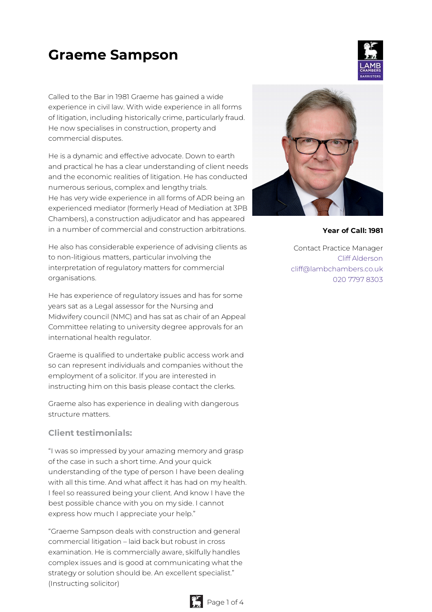# **Graeme Sampson**

Called to the Bar in 1981 Graeme has gained a wide experience in civil law. With wide experience in all forms of litigation, including historically crime, particularly fraud. He now specialises in construction, property and commercial disputes.

He is a dynamic and effective advocate. Down to earth and practical he has a clear understanding of client needs and the economic realities of litigation. He has conducted numerous serious, complex and lengthy trials. He has very wide experience in all forms of ADR being an experienced mediator (formerly Head of Mediation at 3PB Chambers), a construction adjudicator and has appeared in a number of commercial and construction arbitrations.

He also has considerable experience of advising clients as to non-litigious matters, particular involving the interpretation of regulatory matters for commercial organisations.

He has experience of regulatory issues and has for some years sat as a Legal assessor for the Nursing and Midwifery council (NMC) and has sat as chair of an Appeal Committee relating to university degree approvals for an international health regulator.

Graeme is qualified to undertake public access work and so can represent individuals and companies without the employment of a solicitor. If you are interested in instructing him on this basis please contact the clerks.

Graeme also has experience in dealing with dangerous structure matters.

#### **Client testimonials:**

"I was so impressed by your amazing memory and grasp of the case in such a short time. And your quick understanding of the type of person I have been dealing with all this time. And what affect it has had on my health. I feel so reassured being your client. And know I have the best possible chance with you on my side. I cannot express how much I appreciate your help."

"Graeme Sampson deals with construction and general commercial litigation – laid back but robust in cross examination. He is commercially aware, skilfully handles complex issues and is good at communicating what the strategy or solution should be. An excellent specialist." (Instructing solicitor)



**Year of Call: 1981**

Contact Practice Manager Cliff [Alderson](mailto:cliff@lambchambers.co.uk) [cliff@lambchambers.co.uk](mailto:cliff@lambchambers.co.uk) 020 7797 [8303](tel:020%207797%208303)



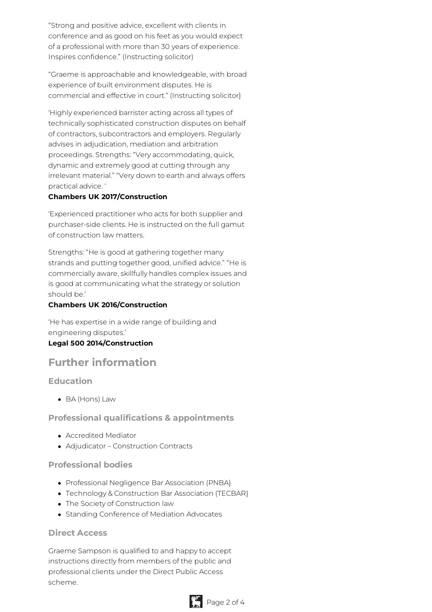"Strong and positive advice, excellent with clients in conference and as good on his feet as you would expect of a professional with more than 30 years of experience. Inspires confidence." (Instructing solicitor)

"Graeme is approachable and knowledgeable, with broad experience of built environment disputes. He is commercial and effective in court." (Instructing solicitor}

'Highly experienced barrister acting across all types of technically sophisticated construction disputes on behalf of contractors, subcontractors and employers. Regularly advises in adjudication, mediation and arbitration proceedings. Strengths: "Very accommodating, quick, dynamic and extremely good at cutting through any irrelevant material." "Very down to earth and always offers practical advice. '

#### **Chambers UK 2017/Construction**

'Experienced practitioner who acts for both supplier and purchaser-side clients. He is instructed on the full gamut of construction law matters.

Strengths: "He is good at gathering together many strands and putting together good, unified advice." "He is commercially aware, skillfully handles complex issues and is good at communicating what the strategy or solution should be.'

#### **Chambers UK 2016/Construction**

'He has expertise in a wide range of building and engineering disputes.'

#### **Legal 500 2014/Construction**

# **Further information**

## **Education**

BA (Hons) Law

**Professional qualifications & appointments**

- Accredited Mediator
- Adjudicator Construction Contracts

## **Professional bodies**

- Professional Negligence Bar Association (PNBA)
- Technology & Construction Bar Association (TECBAR)
- The Society of Construction law
- Standing Conference of Mediation Advocates

## **Direct Access**

Graeme Sampson is qualified to and happy to accept instructions directly from members of the public and professional clients under the Direct Public Access scheme.

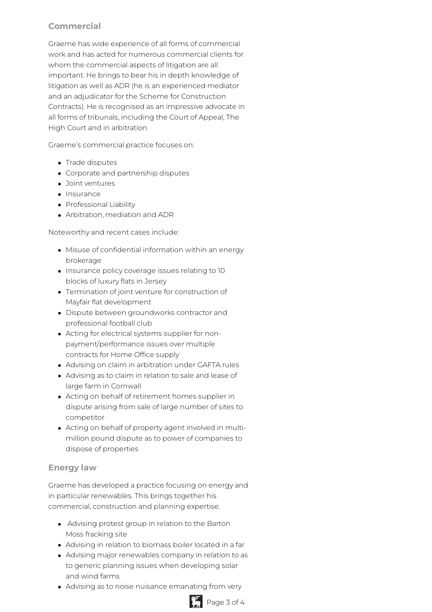# **Commercial**

Graeme has wide experience of all forms of commercial work and has acted for numerous commercial clients for whom the commercial aspects of litigation are all important. He brings to bear his in depth knowledge of litigation as well as ADR (he is an experienced mediator and an adjudicator for the Scheme for Construction Contracts). He is recognised as an impressive advocate in all forms of tribunals, including the Court of Appeal, The High Court and in arbitration.

Graeme's commercial practice focuses on:

- Trade disputes
- Corporate and partnership disputes
- Joint ventures
- Insurance
- Professional Liability
- Arbitration, mediation and ADR

Noteworthy and recent cases include:

- Misuse of confidential information within an energy brokerage
- Insurance policy coverage issues relating to 10 blocks of luxury flats in Jersey
- Termination of joint venture for construction of Mayfair flat development
- Dispute between groundworks contractor and professional football club
- Acting for electrical systems supplier for nonpayment/performance issues over multiple contracts for Home Office supply
- Advising on claim in arbitration under GAFTA rules
- Advising as to claim in relation to sale and lease of large farm in Cornwall
- Acting on behalf of retirement homes supplier in dispute arising from sale of large number of sites to competitor
- Acting on behalf of property agent involved in multimillion pound dispute as to power of companies to dispose of properties

# **Energy law**

Graeme has developed a practice focusing on energy and in particular renewables. This brings together his commercial, construction and planning expertise.

- Advising protest group in relation to the Barton Moss fracking site
- Advising in relation to biomass boiler located in a far
- Advising major renewables company in relation to as to generic planning issues when developing solar and wind farms
- Advising as to noise nuisance emanating from very